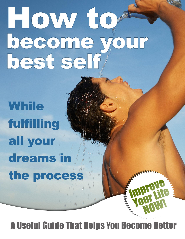# HOW to become<sup>®</sup> OUI best self

**While** fulfilling all your dreams in the process

# **A Useful Guide That Helps You Become Better**

 $\mathcal{F}$  the power of visualization to make your dreams your dreams your dreams your reality: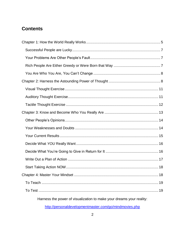### **Contents**

| 18                                                                   |
|----------------------------------------------------------------------|
|                                                                      |
|                                                                      |
| Harness the power of visualization to make your dreams your reality: |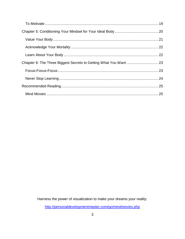Harness the power of visualization to make your dreams your reality: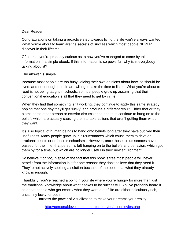#### Dear Reader,

Congratulations on taking a proactive step towards living the life you've always wanted. What you're about to learn are the secrets of success which most people NEVER discover in their lifetime.

Of course, you're probably curious as to how you've managed to come by this information in a simple ebook. If this information is so powerful, why isn't everybody talking about it?

The answer is simple…

Because most people are too busy voicing their own opinions about how life should be lived, and not enough people are willing to take the time to listen. What you're about to read is not being taught in schools, so most people grow up assuming that their conventional education is all that they need to get by in life.

When they find that something isn't working, they continue to apply this same strategy hoping that one day they'll get "lucky" and produce a different result. Either that or they blame some other person or exterior circumstance and thus continue to hang on to the beliefs which are actually causing them to take actions that aren't getting them what they want.

It's also typical of human beings to hang onto beliefs long after they have outlived their usefulness. Many people grow up in circumstances which cause them to develop irrational beliefs or defense mechanisms. However, once those circumstances have passed for their life, that person is left hanging on to the beliefs and behaviors which got them by for a time, but which are no longer useful in their new environment.

So believe it or not, in spite of the fact that this book is free most people will never benefit from the information in it for one reason: they don't believe that they need it. They're not actively seeking a solution because of the belief that what they already know is enough.

Thankfully, you've reached a point in your life where you're hungry for more than just the traditional knowledge about what it takes to be successful. You've probably heard it said that people who get exactly what they want out of life are either ridiculously rich, uncannily lucky, or both.

Harness the power of visualization to make your dreams your reality: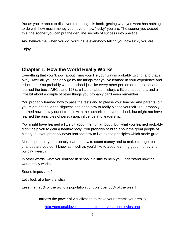But as you're about to discover in reading this book, getting what you want has nothing to do with how much money you have or how "lucky" you are. The sooner you accept this, the sooner you can put the genuine secrets of success into practice.

And believe me, when you do, you'll have everybody telling you how lucky you are.

Enjoy.

## <span id="page-4-0"></span>**Chapter 1: How the World Really Works**

Everything that you "know" about living your life your way is probably wrong, and that's okay. After all, you can only go by the things that you've learned in your experience and education. You probably went to school just like every other person on the planet and learned the basic ABC's and 123's, a little bit about history, a little bit about art, and a little bit about a couple of other things you probably can't even remember.

You probably learned how to pass the tests and to please your teacher and parents, but you might not have the slightest idea as to how to really please yourself. You probably learned how to stay out of trouble with the authorities at your school, but might not have learned the principles of persuasion, influence and leadership.

You might have learned a little bit about the human body, but what you learned probably didn't help you to gain a healthy body. You probably studied about the great people of history, but you probably never learned how to live by the principles which made great.

Most important, you probably learned how to count money and to make change, but chances are you don't know as much as you'd like to about earning good money and building wealth.

In other words, what you learned in school did little to help you understand how the world really works.

Sound impossible?

Let's look at a few statistics:

Less than 20% of the world's population controls over 80% of the wealth.

Harness the power of visualization to make your dreams your reality: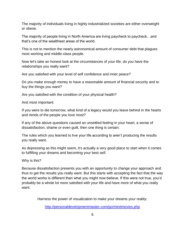The majority of individuals living in highly industrialized societies are either overweight or obese.

The majority of people living in North America are living paycheck to paycheck…and that's one of the wealthiest areas of the world.

This is not to mention the nearly astronomical amount of consumer debt that plagues most working and middle-class people.

Now let's take an honest look at the circumstances of *your* life: do you have the relationships you really want?

Are you satisfied with your level of self confidence and inner peace?

Do you make enough money to have a reasonable amount of financial security and to buy the things you want?

Are you satisfied with the condition of your physical health?

And most important:

If you were to die tomorrow, what kind of a legacy would you leave behind in the hearts and minds of the people you love most?

If any of the above questions caused an unsettled feeling in your heart, a sense of dissatisfaction, shame or even guilt, then one thing is certain:

The rules which you learned to live your life according to aren't producing the results you really want.

As depressing as this might seem, it's actually a very good place to start when it comes to fulfilling your dreams and becoming your best self.

Why is this?

Because dissatisfaction presents you with an opportunity to change your approach and thus to get the results you really want. But this starts with accepting the fact that the way the world works is different than what you might now believe. If this were not true, you'd probably be a whole lot more satisfied with your life and have more of what you really want.

Harness the power of visualization to make your dreams your reality: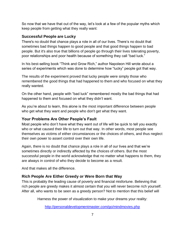So now that we have that out of the way, let's look at a few of the popular myths which keep people from getting what they really want:

#### <span id="page-6-0"></span>**Successful People are Lucky**

There's no doubt that chance plays a role in all of our lives. There's no doubt that sometimes bad things happen to good people and that good things happen to bad people. But it's also true that billions of people go through their lives tolerating poverty, poor relationships and poor health because of something they call "bad luck."

In his best-selling book "Think and Grow Rich," author Napoleon Hill wrote about a series of experiments which was done to determine how "lucky" people got that way.

The results of the experiment proved that lucky people were simply those who remembered the good things that had happened to them and who focused on what they really wanted.

On the other hand, people with "bad luck" remembered mostly the bad things that had happened to them and focused on what they didn't want.

As you're about to learn, this alone is the most important difference between people who get what they want and people who don't get what they want.

#### <span id="page-6-1"></span>**Your Problems Are Other People's Fault**

Most people who don't have what they want out of life will be quick to tell you exactly who or what caused their life to turn out that way. In other words, most people see themselves as victims of either circumstances or the choices of others, and thus neglect their own power to assert control over their own life.

Again, there is no doubt that chance plays a role in all of our lives and that we're sometimes directly or indirectly affected by the choices of others. But the most successful people in the world acknowledge that no matter what happens to them, they are always in control of who they decide to become as a result.

And that makes all the difference.

#### <span id="page-6-2"></span>**Rich People Are Either Greedy or Were Born that Way**

This is probably the leading cause of poverty and financial misfortune. Believing that rich people are greedy makes it almost certain that you will never become rich yourself. After all, who wants to be seen as a greedy person? Not to mention that this belief will

Harness the power of visualization to make your dreams your reality: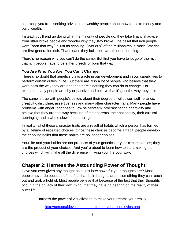also keep you from seeking advice from wealthy people about how to make money and build wealth.

Instead, you'll end up doing what the majority of people do: they take financial advice from *other* broke people and wonder why they stay broke. The belief that rich people were "born that way" is just as crippling. Over 80% of the millionaires in North America are first-generation rich. That means they built their wealth out of nothing.

There's no reason why you can't do the same. But first you have to let go of the myth that rich people have to be either greedy or born that way.

#### <span id="page-7-0"></span>**You Are Who You Are, You Can't Change**

There's no doubt that genetics plays a role in our development and in our capabilities to perform certain duties in life. But there are also a lot of people who believe that they were born the way they are and that there's nothing they can do to change. For example, many people are shy or passive and believe that it's just the way they are.

The same is true with people's beliefs about their degree of willpower, self-reliance, creativity, discipline, assertiveness and many other character traits. Many people have problems with anger, poor health, low self-esteem, procrastination or timidity and believe that they are that way because of their parents, their nationality, their cultural upbringing and a whole slew of other things.

In reality, all of these character traits are a result of habits which a person has formed by a lifetime of repeated choices. Once these choices become a habit, people develop the crippling belief that these habits are no longer choices.

Your life and your habits are not products of your genetics or your circumstances; they are the product of your choices. And you're about to learn how to start making the choices which will make all the difference in living your life your way.

# <span id="page-7-1"></span>**Chapter 2: Harness the Astounding Power of Thought**

Have you ever given any thought as to just how powerful your thoughts are? Most people never do because of the fact that their thoughts aren't something they can reach out and grab a hold of. Most people believe that because of the fact that their thoughts occur in the privacy of their own mind, that they have no bearing on the reality of their outer life.

Harness the power of visualization to make your dreams your reality: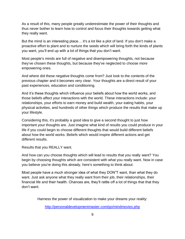As a result of this, many people greatly underestimate the power of their thoughts and thus never bother to learn how to control and focus their thoughts towards getting what they really want.

But the mind is an interesting place… it's a lot like a plot of land. If you don't make a proactive effort to plant and to nurture the seeds which will bring forth the kinds of plants you want, you'll end up with a lot of things that you don't want.

Most people's minds are full of negative and disempowering thoughts, not because they've chosen these thoughts, but because they've neglected to choose more empowering ones.

And where did these negative thoughts come from? Just look to the contents of the previous chapter and it becomes very clear. Your thoughts are a direct result of your past experiences, education and conditioning.

And it's these thoughts which influence your beliefs about how the world works, and those beliefs affect your interactions with the world. These interactions include: your relationships, your efforts to earn money and build wealth, your eating habits, your physical activities, and hundreds of other things which produce the results that make up your lifestyle.

Considering this, it's probably a good idea to give a second thought to just how important your thoughts are. Just imagine what kind of results you could produce in your life if you could begin to choose different thoughts that would build different beliefs about how the world works. Beliefs which would inspire different actions and get different results.

Results that you REALLY want.

And how can you choose thoughts which will lead to results that you really want? You begin by choosing thoughts which are consistent with what you really want. Now in case you believe you're doing this already, here's something to think about:

Most people have a much stronger idea of what they DON"T want, than what they do want. Just ask anyone what they really want from their job, their relationships, their financial life and their health. Chances are, they'll rattle off a lot of things that that they don't want.

Harness the power of visualization to make your dreams your reality: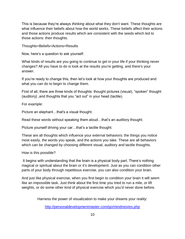This is because they're always *thinking* about what they don't want. These thoughts are what influence their beliefs about how the world works. These beliefs affect their actions and those actions produce results which are consistent with the seeds which led to those actions: their thoughts.

Thoughts=Beliefs=Actions=Results

Now, here's a question to ask yourself:

What kinds of results are you going to continue to get in your life if your thinking never changes? All you have to do is look at the results you're getting, and there's your answer.

If you're ready to change this, then let's look at how your thoughts are produced and what you can do to begin to change them.

First of all, there are three kinds of thoughts: thought pictures (visual), "spoken" thought (auditory) ,and thoughts that you "act out" in your head (tactile).

For example:

Picture an elephant…that's a visual thought.

Read these words without speaking them aloud…that's an auditory thought.

Picture yourself driving your car…that's a tactile thought.

These are all thoughts which influence your external behaviors: the things you notice most easily, the words you speak, and the actions you take. These are all behaviors which can be changed by choosing different visual, auditory and tactile thoughts.

How is this possible?

It begins with understanding that the brain is a physical body part. There's nothing magical or spiritual about the brain or it's development. Just as you can condition other parts of your body through repetitious exercise, you can also condition your brain.

And just like physical exercise, when you first begin to condition your brain it will seem like an impossible task. Just think about the first time you tried to run a mile, or lift weights, or do some other kind of physical exercise which you'd never done before.

Harness the power of visualization to make your dreams your reality: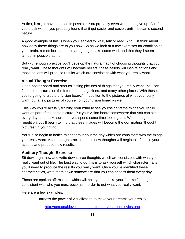At first, it might have seemed impossible. You probably even wanted to give up. But if you stuck with it, you probably found that it got easier and easier, until it became second nature.

A good example of this is when you learned to walk, talk or read. And just think about how easy those things are to you now. So as we look at a few exercises for conditioning your brain, remember that these are going to take some work and that they'll seem almost impossible at first.

But with enough practice you'll develop the natural habit of choosing thoughts that you really want. These thoughts will become beliefs, these beliefs will inspire actions and those actions will produce results which are consistent with what you really want.

#### <span id="page-10-0"></span>**Visual Thought Exercise**

Get a poster board and start collecting pictures of things that you really want. You can find these pictures on the Internet, in magazines, and many other places. With these, you're going to create a "vision board." In addition to the pictures of what you really want, put a few pictures of yourself on your vision board as well.

This way you're actually training your mind to see yourself *and* the things you really want as part of the same picture. Put your vision board somewhere that you can see it every day, and make sure that you spend some time looking at it. With enough repetition, you'll begin to find that these images will become the dominating "thought pictures" in your mind.

You'll also begin to notice things throughout the day which are consistent with the things you really want. After enough practice, these new thoughts will begin to influence your actions and produce new results.

#### <span id="page-10-1"></span>**Auditory Thought Exercise**

Sit down right now and write down three thoughts which are consistent with what you really want out of life. The best way to do this is to ask yourself which character traits you'll need to produce the results you really want. Once you've identified these characteristics, write them down somewhere that you can access them every day.

These are spoken affirmations which will help you to make your "spoken" thoughts consistent with who you must become in order to get what you really want.

Here are a few examples:

Harness the power of visualization to make your dreams your reality: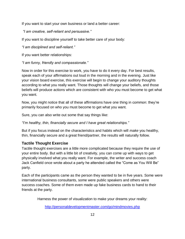If you want to start your own business or land a better career:

*"I am creative, self-reliant and persuasive."*

If you want to discipline yourself to take better care of your body:

*"I am disciplined and self-reliant."*

If you want better relationships:

*"I am funny, friendly and compassionate."*

Now in order for this exercise to work, you have to do it every day. For best results, speak each of your affirmations out loud in the morning and in the evening. Just like your vision board exercise, this exercise will begin to change your auditory thoughts according to what you really want. Those thoughts will change your beliefs, and those beliefs will produce actions which are consistent with who you must become to get what you want.

Now, you might notice that all of these affirmations have one thing in common: they're primarily focused on who you must become to get what you want.

Sure, you can also write out some that say things like:

*"I'm healthy, thin, financially secure and I have great relationships."*

But if you focus instead on the characteristics and habits which will *make* you healthy, thin, financially secure and a great friend/partner, the results will naturally follow.

#### <span id="page-11-0"></span>**Tactile Thought Exercise**

Tactile thought exercises are a little more complicated because they require the use of your entire body. But with a little bit of creativity, you can come up with ways to get physically involved what you really want. For example, the writer and success coach Jack Canfield once wrote about a party he attended called the "Come as You Will Be" party.

Each of the participants came as the person they wanted to be in five years. Some were international business consultants, some were public speakers and others were success coaches. Some of them even made up fake business cards to hand to their friends at the party.

Harness the power of visualization to make your dreams your reality: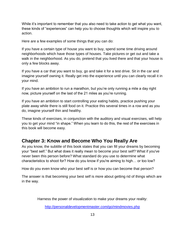While it's important to remember that you also need to take action to get what you want, these kinds of "experiences" can help you to choose thoughts which will inspire you to action.

Here are a few examples of some things that you can do:

If you have a certain type of house you want to buy, spend some time driving around neighborhoods which have those types of houses. Take pictures or get out and take a walk in the neighborhood. As you do, pretend that you lived there and that your house is only a few blocks away.

If you have a car that you want to buy, go and take it for a test drive. Sit in the car and imagine yourself owning it. Really get into the experience until you can clearly recall it in your mind.

If you have an ambition to run a marathon, but you're only running a mile a day right now, picture yourself on the last of the 21 miles as you're running.

If you have an ambition to start controlling your eating habits, practice pushing your plate away while there is still food on it. Practice this several times in a row and as you do, imagine yourself thin and healthy.

These kinds of exercises, in conjunction with the auditory and visual exercises, will help you to get your mind "in shape." When you learn to do this, the rest of the exercises in this book will become easy.

# <span id="page-12-0"></span>**Chapter 3: Know and Become Who You Really Are**

As you know, the subtitle of this book states that you can fill your dreams by becoming your "best self." But what does it really mean to become your best self? What if you've never been this person before? What standard do you use to determine what characteristics to shoot for? How do you know if you're aiming to high… or too low?

How do you even know who your best self is or how you can become that person?

The answer is that becoming your best self is more about getting rid of things which are in the way.

Harness the power of visualization to make your dreams your reality: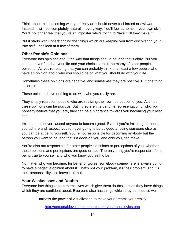Think about this, becoming who you really are should never feel forced or awkward. Instead, it will feel completely natural in every way. You'll feel at home in your own skin. You'll no longer feel that you're an imposter who's trying to "fake it till they make it."

But it starts with understanding the things which are keeping you from discovering your true self. Let's look at a few of them:

#### <span id="page-13-0"></span>**Other People's Opinions**

Everyone has opinions about the way that things should be, and that's okay. But you should never feel that your life and your choices are at the mercy of other people's opinions. As you're reading this, you can probably think of at least a few people who have an opinion about who you should be or what you should do with your life.

Sometimes these opinions are negative, and sometimes they are positive. But one thing is certain…

These opinions have nothing to do with who you really are.

They simply represent people who are realizing their own perception of you. At times, these opinions can be positive. But if they aren't a genuine representation of who you honestly believe that you are, they can be a hindrance towards you becoming your best self.

Imitation has never caused anyone to become great. Even if you're imitating someone you admire and respect, you're never going to be as good at being someone else as you can be at being yourself. You're not responsible for becoming anybody but the person you want to be, and that's a decision you, and only you, can make.

You're also not responsible for other people's opinions or perceptions of you, whether those opinions and perceptions are good or bad. The only thing you're responsible for is being true to yourself and who you know yourself to be.

No matter who you become, for better or worse, somebody somewhere is always going to have a negative opinion about it. That's not your problem, it's their problem, and it's their responsibility…so leave it at that.

#### <span id="page-13-1"></span>**Your Weaknesses and Doubts**

Everyone has things about themselves which give them doubts, just as they have things which they are confident about. Everyone also has things which they don't do so well,

Harness the power of visualization to make your dreams your reality: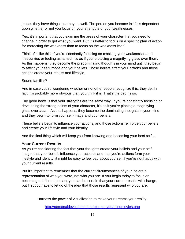just as they have things that they do well. The person you become in life is dependent upon whether or not you focus on your strengths or your weaknesses.

Yes, it's important that you examine the areas of your character that you need to change in order to get what you want. But it's better to focus on a specific plan of action for correcting the weakness than to focus on the weakness itself.

Think of it like this: if you're constantly focusing on masking your weaknesses and insecurities or feeling ashamed, it's as if you're placing a magnifying glass over them. As this happens, they become the predominating thoughts in your mind until they begin to affect your self-image and your beliefs. Those beliefs affect your actions and those actions create your results and lifestyle.

#### Sound familiar?

And in case you're wondering whether or not other people recognize this, they do. In fact, it's probably more obvious than you think it is. That's the bad news.

The good news is that your strengths are the same way. If you're constantly focusing on developing the strong points of your character, it's as if you're placing a magnifying glass over *them*. As this happens, they become the dominating thoughts in your mind and they begin to form your self-image and your beliefs.

These beliefs begin to influence your actions, and those actions reinforce your beliefs and create your lifestyle and your identity.

And the final thing which will keep you from knowing and becoming your best self…

#### <span id="page-14-0"></span>**Your Current Results**

As you're considering the fact that your thoughts create your beliefs and your selfimage, that your beliefs influence your actions, and that you're actions form your lifestyle and identity, it might be easy to feel bad about yourself if you're not happy with your current results.

But it's important to remember that the current circumstances of your life are a representation of who you were, not who you are. If you begin today to focus on becoming a different person, you can be certain that your current results will change, but first you have to let go of the idea that those results represent who you are.

Harness the power of visualization to make your dreams your reality: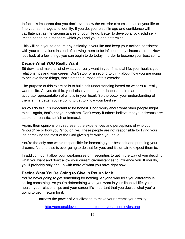In fact, it's important that you don't ever allow the exterior circumstances of your life to fine your self-image and identity. If you do, you're self image and confidence will vacillate just as the circumstances of your life do. Better to develop a rock solid selfimage based on a standard which you and you alone determine.

This will help you to endure any difficulty in your life and keep your actions consistent with your true values instead of allowing them to be influenced by circumstances. Now let's look at a few things you can begin to do today in order to become your best self…

#### <span id="page-15-0"></span>**Decide What** *YOU* **Really Want**

Sit down and make a list of what you really want in your financial life, your health, your relationships and your career. Don't stop for a second to think about how you are going to achieve these things, that's not the purpose of this exercise.

The purpose of this exercise is to build self understanding based on what YOU really want to life. As you do this, you'll discover that your deepest desires are the most accurate representation of what's in your heart. So the better your understanding of them is, the better you're going to get to know your best self.

As you do this, it's important to be honest. Don't worry about what other people might think…again, that's not your problem. Don't worry if others believe that your dreams are: stupid, unrealistic, selfish or immoral.

Again, their opinions only represent the experiences and perceptions of who you "should" be or how you "should" live. These people are not responsible for living your life or making the most of the God given gifts which you have.

You're the only one who's responsible for becoming your best self and pursuing your dreams. No one else is ever going to do that for you, and it's unfair to expect them to.

In addition, don't allow your weaknesses or insecurities to get in the way of you deciding what you want and don't allow your current circumstances to influence you. If you do, you'll probably only end up with more of what you have right now.

#### <span id="page-15-1"></span>**Decide What You're Going to Give in Return for It**

You're never going to get something for nothing. Anyone who tells you differently is selling something. As you're determining what you want in your financial life, your health, your relationships and your career it's important that you decide what you're going to get in return for it.

Harness the power of visualization to make your dreams your reality: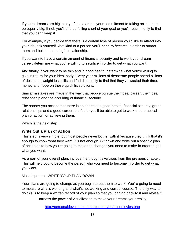If you're dreams are big in any of these areas, your commitment to taking action must be equally big. If not, you'll end up falling short of your goal or you'll reach it only to find that you can't keep it.

For example, if you decide that there is a certain type of person you'd like to attract into your life, ask yourself what kind of a person you'll need to *become* in order to attract them and build a meaningful relationship.

If you want to have a certain amount of financial security and to work your dream career, determine what you're willing to sacrifice in order to get what you want.

And finally, if you want to be thin and in good health, determine what you're willing to give in return for your ideal body. Every year millions of desperate people spend billions of dollars on weight loss pills and fad diets, only to find that they've wasted their time, money and hope on these quick fix solutions.

Similar mistakes are made in the way that people pursue their ideal career, their ideal relationship and the acquiring of financial security.

The sooner you accept that there is no shortcut to good health, financial security, great relationships and a good career, the faster you'll be able to get to work on a practical plan of action for achieving them.

Which is the next step…

#### <span id="page-16-0"></span>**Write Out a Plan of Action**

This step is very simple, but most people never bother with it because they think that it's enough to know what they want. It's not enough. Sit down and write out a specific plan of action as to how you're going to make the changes you need to make in order to get what you want.

As a part of your overall plan, include the thought exercises from the previous chapter. This will help you to become the person who you need to become in order to get what you want.

Most important: WRITE YOUR PLAN DOWN

Your plans are going to change as you begin to put them to work. You're going to need to measure what's working and what's not working and correct course. The only way to do this is to keep a written record of your plan so that you can go back to it and revise it.

Harness the power of visualization to make your dreams your reality: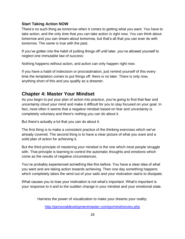#### <span id="page-17-0"></span>**Start Taking Action NOW**

There's no such thing as tomorrow when it comes to getting what you want. You have to take action, and the only time that you can take action is right now. You can think about tomorrow and you can dream about tomorrow, but that's all that you can ever do with tomorrow. The same is true with the past.

If you've gotten into the habit of putting things off until later, you've allowed yourself to neglect one immutable law of success:

Nothing happens without action, and action can only happen right now.

If you have a habit of indecision or procrastination, just remind yourself of this every time the temptation comes to put things off: there is no later. There is only now, anything short of this and you qualify as a dreamer.

# <span id="page-17-1"></span>**Chapter 4: Master Your Mindset**

As you begin to put your plan of action into practice, you're going to find that fear and uncertainty cloud your mind and make it difficult for you to stay focused on your goal. In fact, most often it seems that a negative mindset based on fear and uncertainty is completely voluntary and there's nothing you can do about it.

But there's actually a lot that you can do about it.

The first thing is to make a consistent practice of the thinking exercises which we've already covered. The second thing is to have a clear picture of what you want and a solid plan of action for achieving it.

But the third principle of mastering your mindset is the one which most people struggle with. That principle is learning to control the automatic thoughts and emotions which come as the results of negative circumstances.

You've probably experienced something like this before. You have a clear idea of what you want and are taking action towards achieving. Then one day something happens which completely takes the wind out of your sails and your motivation starts to dissipate.

What causes you to lose your motivation is not what's important. What's important is your response to it and to the sudden change in your mindset and your emotional state.

Harness the power of visualization to make your dreams your reality: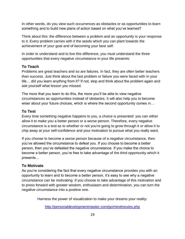In other words, do you view such occurrences as obstacles or as opportunities to learn something and to build new plans of action based on what you've learned?

Think about this: the difference between a problem and an opportunity is your response to it. Every problem carries with it the seeds which you can plant towards the achievement of your goal and of becoming your best self:

In order to understand and to live this difference, you must understand the three opportunities that every negative circumstance in your life presents:

#### <span id="page-18-0"></span>**To Teach**

Problems are great teachers and so are failures. In fact, they are often better teachers than success. Just think about the last problem or failure you were faced with in your life… did you learn anything from it? If not, stop and think about the problem again and ask yourself what lesson you missed.

The more that you learn to do this, the more you'll be able to view negative circumstances as opportunities instead of obstacles. It will also help you to become wiser about your future choices, which is where the second opportunity comes in…

#### <span id="page-18-1"></span>**To Test**

Every time something negative happens to you, a choice is presented: you can either allow it to make you a better person or a worse person. Therefore, every negative circumstance is a test as to whether or not you're going to grow through it or allow it to chip away at your self-confidence and your motivation to pursue what you really want.

If you choose to become a worse person because of a negative circumstance, then you've allowed the circumstance to defeat you. If you choose to become a better person, then you've defeated the negative circumstance. If you make the choice to become a better person, you're free to take advantage of the third opportunity which it presents…

#### <span id="page-18-2"></span>**To Motivate**

As you're considering the fact that every negative circumstance provides you with an opportunity to learn and to become a better person, it's easy to see why a negative circumstance can be motivating. If you choose to take advantage of this motivation and to press forward with greater wisdom, enthusiasm and determination, you can turn the negative circumstance into a positive one.

Harness the power of visualization to make your dreams your reality: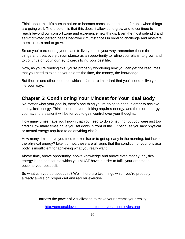Think about this: it's human nature to become complacent and comfortable when things are going well. The problem is that this doesn't allow us to grow and to continue to reach beyond our comfort zone and experience new things. Even the most splendid and self-motivated person needs negative circumstances in order to challenge and motivate them to learn and to grow.

So as you're executing your plans to live your life your way, remember these three things and treat every circumstance as an opportunity to refine your plans, to grow, and to continue on your journey towards living your best life.

Now, as you're reading this, you're probably wondering how you can get the resources that you need to execute your plans: the time, the money, the knowledge.

But there's one other resource which is far more important that you'll need to live your life your way…

# <span id="page-19-0"></span>**Chapter 5: Conditioning Your Mindset for Your Ideal Body**

No matter what your goal is, there's one thing you're going to need in order to achieve it: physical energy. Think about it: even thinking requires energy, and the more energy you have, the easier it will be for you to gain control over your thoughts.

How many times have you known that you need to do something, but you were just too tired? How many times have you sat down in front of the TV because you lack physical or mental energy required to do anything else?

How many times have you tried to exercise or to get up early in the morning, but lacked the physical energy? Like it or not, these are all signs that the condition of your physical body is insufficient for achieving what you really want.

Above time, above opportunity, above knowledge and above even money, physical energy is the one source which you MUST have in order to fulfill your dreams to become your best self.

So what can you do about this? Well, there are two things which you're probably already aware or: proper diet and regular exercise.

Harness the power of visualization to make your dreams your reality: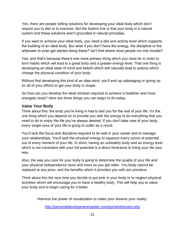Yes, there are people selling solutions for developing your ideal body which don't require you to diet or to exercise. But the bottom line is that your body is a natural system and these solutions aren't grounded in natural principles.

If you want to achieve your ideal body, you need a diet and activity level which supports the building of an ideal body. But what if you don't have the energy, the discipline or the willpower to even get started doing these? Isn't that where most people run into trouble?

Yes, and that's because there's one more primary thing which you must do in order to form habits which will lead to a great body and a greater energy level. That one thing is developing an ideal state of mind and beliefs which will naturally lead to actions which change the physical condition of your body.

Without first developing this kind of an idea mind, you'll end up sabotaging or giving up on all of your efforts to get your body in shape.

So how can you develop the ideal mindset required to achieve a healthier and more energetic body? Here are three things you can begin to do today:

#### <span id="page-20-0"></span>**Value Your Body**

Think about this: the body you're living in has to last you for the rest of your life. It's the one thing which you depend on to provide you with the energy to do everything that you need to do to enjoy the life you've always desired. If you don't take care of your body, every single area of your life is going to suffer as a result.

You'll lack the focus and discipline required to do well in your career and to manage your relationships. You'll lack the physical energy to squeeze every ounce of potential out of every moment of your life. In short, having an unhealthy body and an energy level which is not consistent with your full potential is a direct hindrance to living your life your way.

Also, the way you care for your body is going to determine the quality of your life and your physical independence more and more as you get older. You body cannot be replaced at any price, and the benefits which it provides you with are priceless.

Think about this the next time you decide to put junk in your body or to neglect physical activities which will encourage you to have a healthy body. This will help you to value your body and to begin caring for it better.

Harness the power of visualization to make your dreams your reality: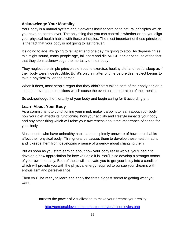#### <span id="page-21-0"></span>**Acknowledge Your Mortality**

Your body is a natural system and it governs itself according to natural principles which you have no control over. The only thing that you can control is whether or not you align your physical health habits with these principles. The most important of these principles is the fact that your body is not going to last forever.

It's going to age, it's going to fall apart and one day it's going to stop. As depressing as this might sound, many people age, fall apart and die MUCH earlier because of the fact that they don't acknowledge the mortality of their body.

They neglect the simple principles of routine exercise, healthy diet and restful sleep as if their body were indestructible. But it's only a matter of time before this neglect begins to take a physical toll on the person.

When it does, most people regret that they didn't start taking care of their body earlier in life and prevent the conditions which cause the eventual deterioration of their health.

So acknowledge the mortality of your body and begin caring for it accordingly…

#### <span id="page-21-1"></span>**Learn About Your Body**

As a commitment to conditioning your mind, make it a point to learn about your body: how your diet affects its functioning, how your activity and lifestyle impacts your body, and any other thing which will raise your awareness about the importance of caring for your body.

Most people who have unhealthy habits are completely unaware of how those habits affect their physical body. This ignorance causes them to develop these health habits and it keeps them from developing a sense of urgency about changing them.

But as soon as you start learning about how your body really works, you'll begin to develop a new appreciation for how valuable it is. You'll also develop a stronger sense of your own mortality. Both of these will motivate you to get your body into a condition which will provide you with the physical energy required to pursue your dreams with enthusiasm and perseverance.

Then you'll be ready to learn and apply the three biggest secret to getting what you want.

Harness the power of visualization to make your dreams your reality: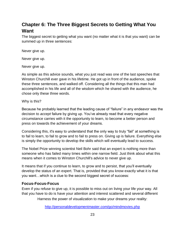# <span id="page-22-0"></span>**Chapter 6: The Three Biggest Secrets to Getting What You Want**

The biggest secret to getting what you want (no matter what it is that you want) can be summed up in three sentences:

Never give up.

Never give up.

Never give up.

As simple as this advice sounds, what you just read was one of the last speeches that Winston Churchill ever gave in his lifetime. He got up in front of the audience, spoke these three sentences, and walked off. Considering all the things that this man had accomplished in his life and all of the wisdom which he shared with the audience, he chose only these three words.

Why is this?

Because he probably learned that the leading cause of "failure" in any endeavor was the decision to *accept* failure by giving up. You've already read that every negative circumstance carries with it the opportunity to learn, to become a better person and press on towards the achievement of your dreams.

Considering this, it's easy to understand that the only way to truly "fail" at something is to fail to learn, to fail to grow and to fail to press on. Giving up is failure. Everything else is simply the opportunity to develop the skills which will eventually lead to success.

The Nobel Prize winning scientist Neil Bohr said that an expert is nothing more than someone who has failed many times within one narrow field. Just think about what this means when it comes to Winston Churchill's advice to never give up.

It means that if you continue to learn, to grow and to persist, that you'll eventually develop the status of an expert. That is, provided that you know exactly what it is that you want…which is a clue to the second biggest secret of success:

#### <span id="page-22-1"></span>**Focus-Focus-Focus**

Even if you refuse to give up, it is possible to miss out on living your life your way. All that you have to do is have your attention and interest scattered and several different

Harness the power of visualization to make your dreams your reality: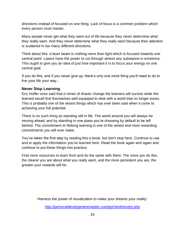directions instead of focused on one thing. Lack of focus is a common problem which every person must master.

Many people never get what they want out of life because they never determine what they really want. And they never determine what they really want because their attention is scattered in too many different directions.

Think about this: a laser beam is nothing more than light which is focused towards one central point. Lasers have the power to cut through almost any substance in existence. This ought to give you an idea of just how important it is to focus your energy on one central goal.

If you do this, and if you never give up, there's only one more thing you'll need to do to live your life your way…

#### <span id="page-23-0"></span>**Never Stop Learning**

Eric Hoffer once said that in times of drastic change the learners will survive while the learned would find themselves well equipped to deal with a world that no longer exists. This is probably one of the wisest things which has ever been said when it come to achieving your full potential.

There is no such thing as standing still in life. The world around you will always be moving ahead, and by standing in one place you're choosing by default to be left behind. The commitment to lifelong learning is one of the wisest and most rewarding commitments you will ever make.

You've taken the first step by reading this e-book, but don't stop here. Continue to use and to apply the information you've learned here. Read the book again and again and continue to put these things into practice.

Find more resources to learn from and do the same with them. The more you do this, the clearer you are about what you really want, and the more persistent you are, the greater your rewards will be.

Harness the power of visualization to make your dreams your reality: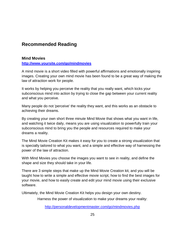# <span id="page-24-0"></span>**Recommended Reading**

#### <span id="page-24-1"></span>**Mind Movies**

**<http://www.yoursite.com/go/mindmovies>**

A mind movie is a short video filled with powerful affirmations and emotionally inspiring images. Creating your own mind movie has been found to be a great way of making the law of attraction work for people.

It works by helping you perceive the reality that you really want, which kicks your subconscious mind into action by trying to close the gap between your current reality and what you perceive.

Many people do not 'perceive' the reality they want, and this works as an obstacle to achieving their dreams.

By creating your own short three minute Mind Movie that shows what you want in life, and watching it twice daily, means you are using visualization to powerfully train your subconscious mind to bring you the people and resources required to make your dreams a reality.

The Mind Movie Creation Kit makes it easy for you to create a strong visualization that is specially tailored to what you want, and a simple and effective way of harnessing the power of the law of attraction.

With Mind Movies you choose the images you want to see in reality, and define the shape and size they should take in your life.

There are 3 simple steps that make up the Mind Movie Creation kit, and you will be taught how to write a simple and effective movie script, how to find the best images for your movie, and how to easily create and edit your mind movie using their exclusive software.

Ultimately, the Mind Movie Creation Kit helps you design your own destiny.

Harness the power of visualization to make your dreams your reality: